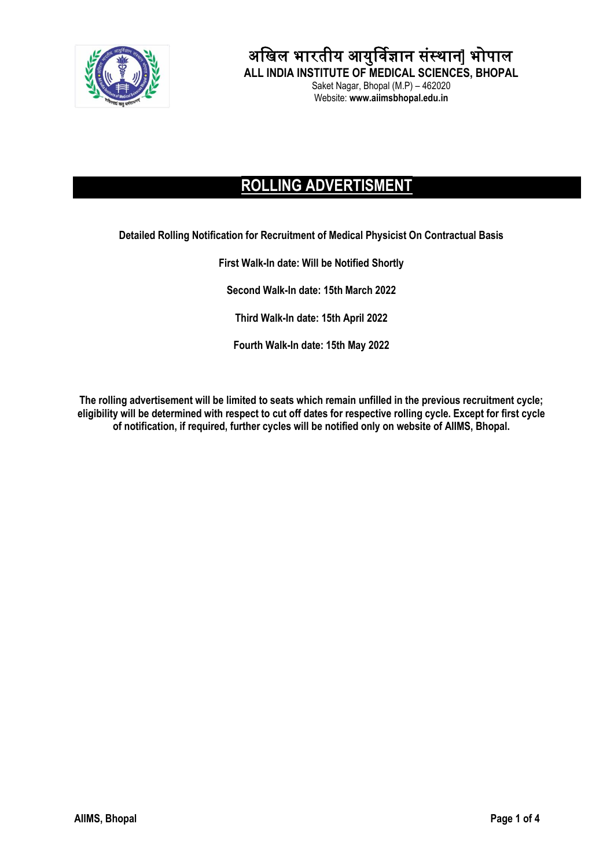

अखिल भारतीय आयुर्विज्ञान संस्थान] भोपाल

**ALL INDIA INSTITUTE OF MEDICAL SCIENCES, BHOPAL** Saket Nagar, Bhopal (M.P) – 462020 Website: **www.aiimsbhopal.edu.in**

## **ROLLING ADVERTISMENT**

**Detailed Rolling Notification for Recruitment of Medical Physicist On Contractual Basis**

**First Walk-In date: Will be Notified Shortly**

**Second Walk-In date: 15th March 2022**

**Third Walk-In date: 15th April 2022**

**Fourth Walk-In date: 15th May 2022**

**The rolling advertisement will be limited to seats which remain unfilled in the previous recruitment cycle; eligibility will be determined with respect to cut off dates for respective rolling cycle. Except for first cycle of notification, if required, further cycles will be notified only on website of AIIMS, Bhopal.**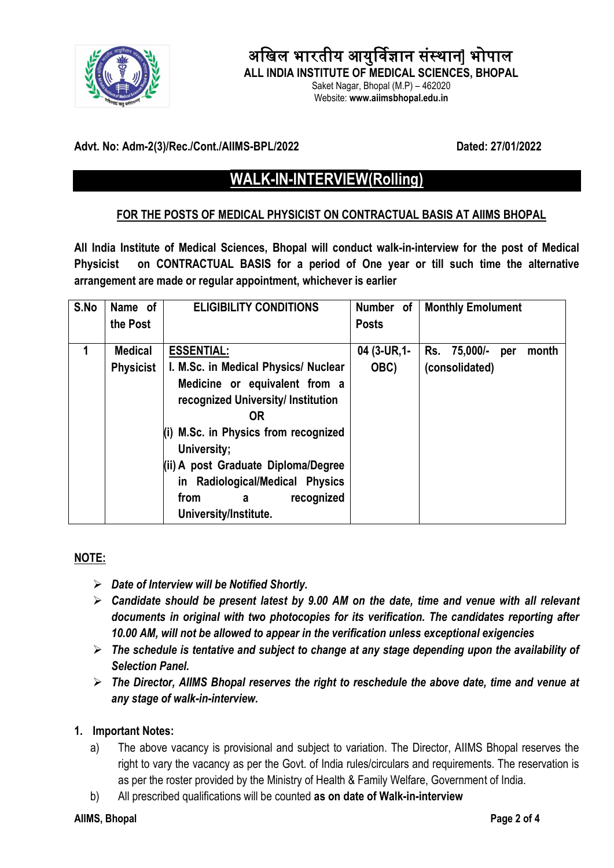

# अखिल भारतीय आयुर्विज्ञान संस्थान] भोपाल

**ALL INDIA INSTITUTE OF MEDICAL SCIENCES, BHOPAL** Saket Nagar, Bhopal (M.P) – 462020

Website: **www.aiimsbhopal.edu.in**

## **Advt. No: Adm-2(3)/Rec./Cont./AIIMS-BPL/2022 Dated: 27/01/2022**

## **WALK-IN-INTERVIEW(Rolling)**

#### **FOR THE POSTS OF MEDICAL PHYSICIST ON CONTRACTUAL BASIS AT AIIMS BHOPAL**

**All India Institute of Medical Sciences, Bhopal will conduct walk-in-interview for the post of Medical Physicist on CONTRACTUAL BASIS for a period of One year or till such time the alternative arrangement are made or regular appointment, whichever is earlier** 

| S.No | Name of<br>the Post                | <b>ELIGIBILITY CONDITIONS</b>                                                                                                                                                                                                                                                                             | Number of<br><b>Posts</b> | <b>Monthly Emolument</b>                       |
|------|------------------------------------|-----------------------------------------------------------------------------------------------------------------------------------------------------------------------------------------------------------------------------------------------------------------------------------------------------------|---------------------------|------------------------------------------------|
| 1    | <b>Medical</b><br><b>Physicist</b> | <b>ESSENTIAL:</b><br>I. M.Sc. in Medical Physics/ Nuclear<br>Medicine or equivalent from a<br>recognized University/ Institution<br><b>OR</b><br>(i) M.Sc. in Physics from recognized<br>University;<br>(ii) A post Graduate Diploma/Degree<br>in Radiological/Medical Physics<br>recognized<br>from<br>a | 04 (3-UR, 1-<br>OBC)      | Rs. 75,000/-<br>month<br>per<br>(consolidated) |
|      |                                    | University/Institute.                                                                                                                                                                                                                                                                                     |                           |                                                |

## **NOTE:**

- *Date of Interview will be Notified Shortly.*
- *Candidate should be present latest by 9.00 AM on the date, time and venue with all relevant documents in original with two photocopies for its verification. The candidates reporting after 10.00 AM, will not be allowed to appear in the verification unless exceptional exigencies*
- *The schedule is tentative and subject to change at any stage depending upon the availability of Selection Panel.*
- *The Director, AIIMS Bhopal reserves the right to reschedule the above date, time and venue at any stage of walk-in-interview.*

#### **1. Important Notes:**

- a) The above vacancy is provisional and subject to variation. The Director, AIIMS Bhopal reserves the right to vary the vacancy as per the Govt. of India rules/circulars and requirements. The reservation is as per the roster provided by the Ministry of Health & Family Welfare, Government of India.
- b) All prescribed qualifications will be counted **as on date of Walk-in-interview**

#### **AIIMS, Bhopal Page 2 of 4**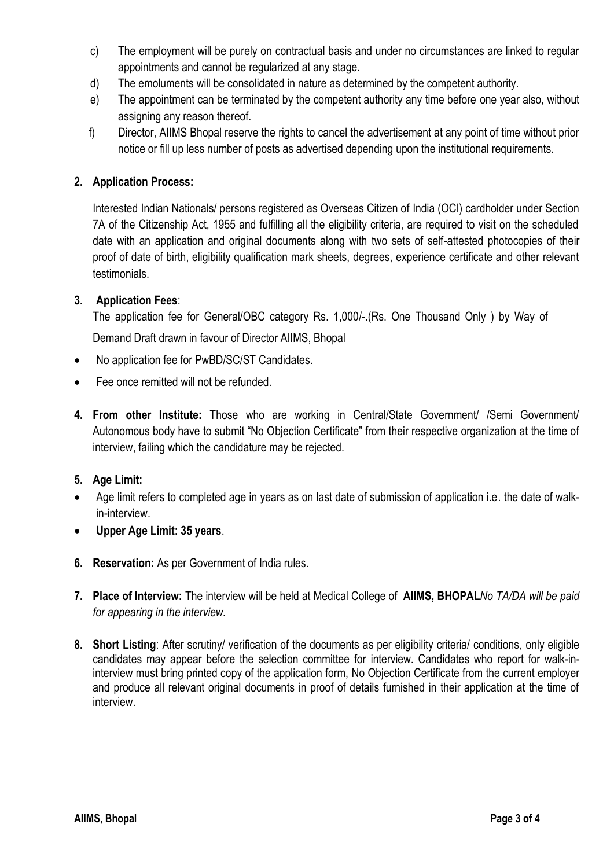- c) The employment will be purely on contractual basis and under no circumstances are linked to regular appointments and cannot be regularized at any stage.
- d) The emoluments will be consolidated in nature as determined by the competent authority.
- e) The appointment can be terminated by the competent authority any time before one year also, without assigning any reason thereof.
- f) Director, AIIMS Bhopal reserve the rights to cancel the advertisement at any point of time without prior notice or fill up less number of posts as advertised depending upon the institutional requirements.

## **2. Application Process:**

Interested Indian Nationals/ persons registered as Overseas Citizen of India (OCI) cardholder under Section 7A of the Citizenship Act, 1955 and fulfilling all the eligibility criteria, are required to visit on the scheduled date with an application and original documents along with two sets of self-attested photocopies of their proof of date of birth, eligibility qualification mark sheets, degrees, experience certificate and other relevant testimonials.

## **3. Application Fees**:

The application fee for General/OBC category Rs. 1,000/-.(Rs. One Thousand Only ) by Way of

Demand Draft drawn in favour of Director AIIMS, Bhopal

- No application fee for PwBD/SC/ST Candidates.
- Fee once remitted will not be refunded.
- **4. From other Institute:** Those who are working in Central/State Government/ /Semi Government/ Autonomous body have to submit "No Objection Certificate" from their respective organization at the time of interview, failing which the candidature may be rejected.

## **5. Age Limit:**

- Age limit refers to completed age in years as on last date of submission of application i.e. the date of walkin-interview.
- **Upper Age Limit: 35 years**.
- **6. Reservation:** As per Government of India rules.
- **7. Place of Interview:** The interview will be held at Medical College of **AIIMS, BHOPAL***No TA/DA will be paid for appearing in the interview.*
- **8. Short Listing**: After scrutiny/ verification of the documents as per eligibility criteria/ conditions, only eligible candidates may appear before the selection committee for interview. Candidates who report for walk-ininterview must bring printed copy of the application form, No Objection Certificate from the current employer and produce all relevant original documents in proof of details furnished in their application at the time of interview.